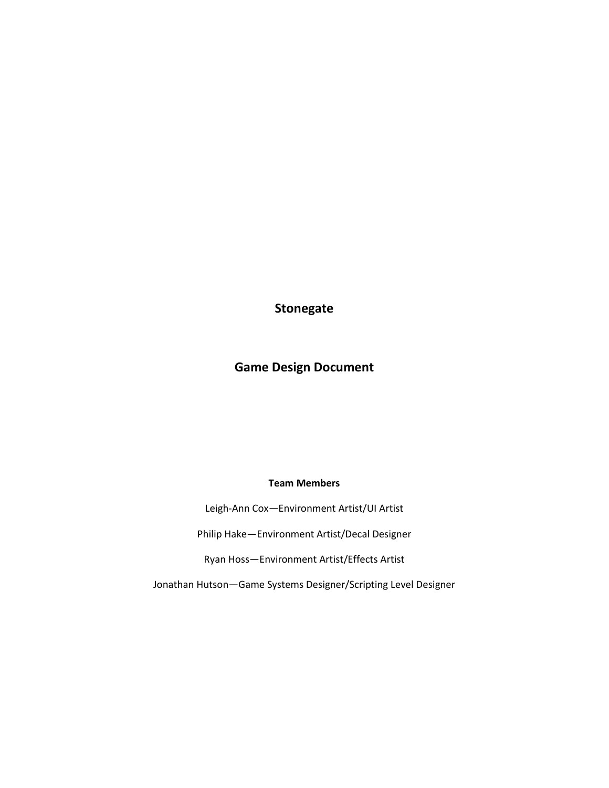**Stonegate**

# **Game Design Document**

# **Team Members**

Leigh-Ann Cox—Environment Artist/UI Artist

Philip Hake—Environment Artist/Decal Designer

Ryan Hoss—Environment Artist/Effects Artist

Jonathan Hutson—Game Systems Designer/Scripting Level Designer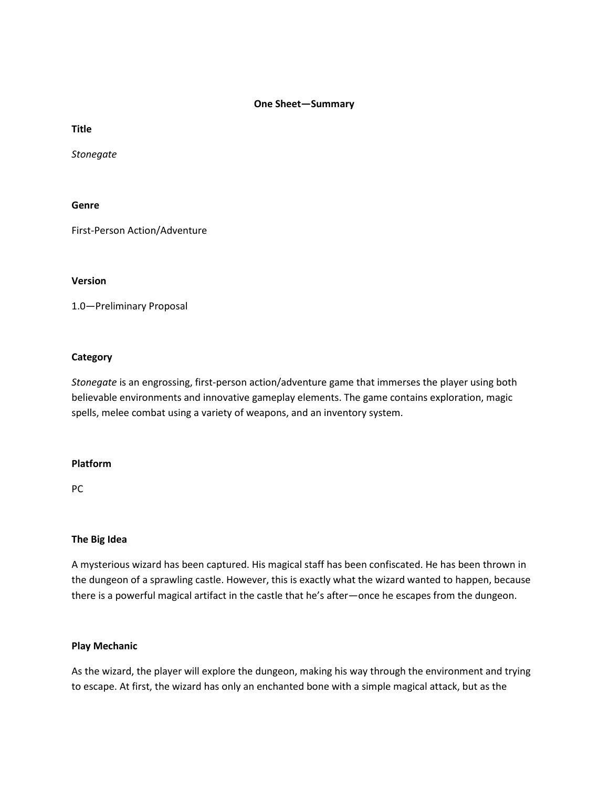### **One Sheet—Summary**

**Title**

*Stonegate*

# **Genre**

First-Person Action/Adventure

### **Version**

1.0—Preliminary Proposal

# **Category**

*Stonegate* is an engrossing, first-person action/adventure game that immerses the player using both believable environments and innovative gameplay elements. The game contains exploration, magic spells, melee combat using a variety of weapons, and an inventory system.

### **Platform**

PC

# **The Big Idea**

A mysterious wizard has been captured. His magical staff has been confiscated. He has been thrown in the dungeon of a sprawling castle. However, this is exactly what the wizard wanted to happen, because there is a powerful magical artifact in the castle that he's after—once he escapes from the dungeon.

# **Play Mechanic**

As the wizard, the player will explore the dungeon, making his way through the environment and trying to escape. At first, the wizard has only an enchanted bone with a simple magical attack, but as the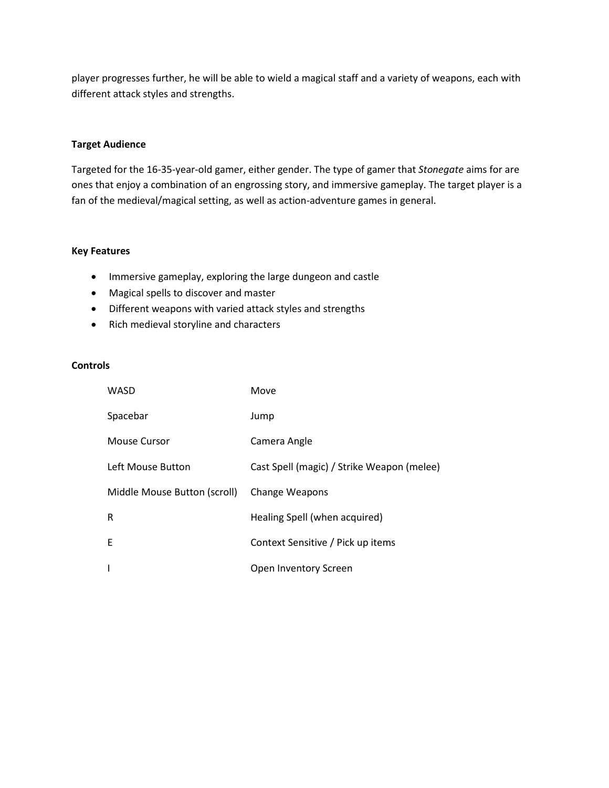player progresses further, he will be able to wield a magical staff and a variety of weapons, each with different attack styles and strengths.

# **Target Audience**

Targeted for the 16-35-year-old gamer, either gender. The type of gamer that *Stonegate* aims for are ones that enjoy a combination of an engrossing story, and immersive gameplay. The target player is a fan of the medieval/magical setting, as well as action-adventure games in general.

# **Key Features**

- Immersive gameplay, exploring the large dungeon and castle
- Magical spells to discover and master
- Different weapons with varied attack styles and strengths
- Rich medieval storyline and characters

### **Controls**

| WASD                         | Move                                       |
|------------------------------|--------------------------------------------|
| Spacebar                     | Jump                                       |
| Mouse Cursor                 | Camera Angle                               |
| Left Mouse Button            | Cast Spell (magic) / Strike Weapon (melee) |
| Middle Mouse Button (scroll) | <b>Change Weapons</b>                      |
| R                            | Healing Spell (when acquired)              |
| F                            | Context Sensitive / Pick up items          |
| ı                            | Open Inventory Screen                      |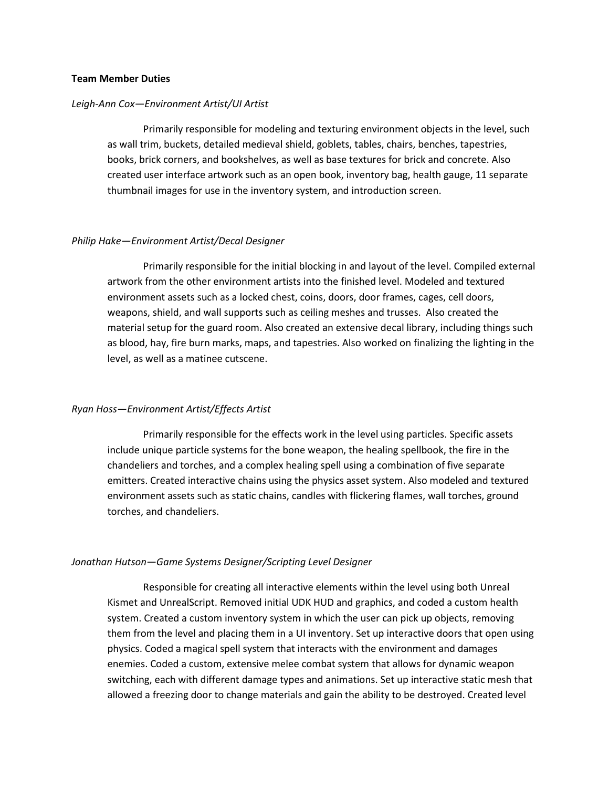### **Team Member Duties**

### *Leigh-Ann Cox—Environment Artist/UI Artist*

Primarily responsible for modeling and texturing environment objects in the level, such as wall trim, buckets, detailed medieval shield, goblets, tables, chairs, benches, tapestries, books, brick corners, and bookshelves, as well as base textures for brick and concrete. Also created user interface artwork such as an open book, inventory bag, health gauge, 11 separate thumbnail images for use in the inventory system, and introduction screen.

### *Philip Hake—Environment Artist/Decal Designer*

Primarily responsible for the initial blocking in and layout of the level. Compiled external artwork from the other environment artists into the finished level. Modeled and textured environment assets such as a locked chest, coins, doors, door frames, cages, cell doors, weapons, shield, and wall supports such as ceiling meshes and trusses. Also created the material setup for the guard room. Also created an extensive decal library, including things such as blood, hay, fire burn marks, maps, and tapestries. Also worked on finalizing the lighting in the level, as well as a matinee cutscene.

### *Ryan Hoss—Environment Artist/Effects Artist*

Primarily responsible for the effects work in the level using particles. Specific assets include unique particle systems for the bone weapon, the healing spellbook, the fire in the chandeliers and torches, and a complex healing spell using a combination of five separate emitters. Created interactive chains using the physics asset system. Also modeled and textured environment assets such as static chains, candles with flickering flames, wall torches, ground torches, and chandeliers.

#### *Jonathan Hutson—Game Systems Designer/Scripting Level Designer*

Responsible for creating all interactive elements within the level using both Unreal Kismet and UnrealScript. Removed initial UDK HUD and graphics, and coded a custom health system. Created a custom inventory system in which the user can pick up objects, removing them from the level and placing them in a UI inventory. Set up interactive doors that open using physics. Coded a magical spell system that interacts with the environment and damages enemies. Coded a custom, extensive melee combat system that allows for dynamic weapon switching, each with different damage types and animations. Set up interactive static mesh that allowed a freezing door to change materials and gain the ability to be destroyed. Created level